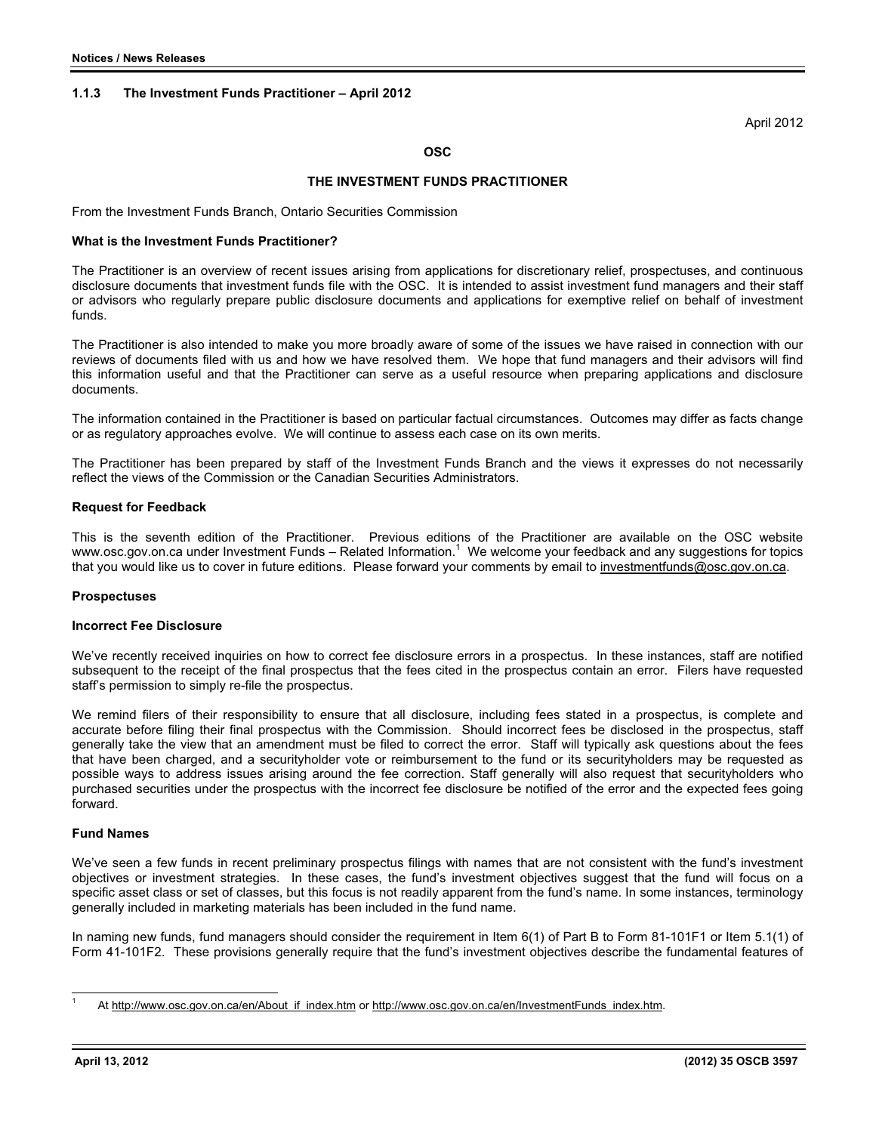## **1.1.3 The Investment Funds Practitioner – April 2012**

April 2012

## **OSC**

## **THE INVESTMENT FUNDS PRACTITIONER**

From the Investment Funds Branch, Ontario Securities Commission

### **What is the Investment Funds Practitioner?**

The Practitioner is an overview of recent issues arising from applications for discretionary relief, prospectuses, and continuous disclosure documents that investment funds file with the OSC. It is intended to assist investment fund managers and their staff or advisors who regularly prepare public disclosure documents and applications for exemptive relief on behalf of investment funds.

The Practitioner is also intended to make you more broadly aware of some of the issues we have raised in connection with our reviews of documents filed with us and how we have resolved them. We hope that fund managers and their advisors will find this information useful and that the Practitioner can serve as a useful resource when preparing applications and disclosure documents.

The information contained in the Practitioner is based on particular factual circumstances. Outcomes may differ as facts change or as regulatory approaches evolve. We will continue to assess each case on its own merits.

The Practitioner has been prepared by staff of the Investment Funds Branch and the views it expresses do not necessarily reflect the views of the Commission or the Canadian Securities Administrators.

### **Request for Feedback**

This is the seventh edition of the Practitioner. Previous editions of the Practitioner are available on the OSC website www.osc.gov.on.ca under Investment Funds – Related Information. $^1\,$  We welcome your feedback and any suggestions for topics that you would like us to cover in future editions. Please forward your comments by email to investmentfunds@osc.gov.on.ca.

### **Prospectuses**

### **Incorrect Fee Disclosure**

We've recently received inquiries on how to correct fee disclosure errors in a prospectus. In these instances, staff are notified subsequent to the receipt of the final prospectus that the fees cited in the prospectus contain an error. Filers have requested staff's permission to simply re-file the prospectus.

We remind filers of their responsibility to ensure that all disclosure, including fees stated in a prospectus, is complete and accurate before filing their final prospectus with the Commission. Should incorrect fees be disclosed in the prospectus, staff generally take the view that an amendment must be filed to correct the error. Staff will typically ask questions about the fees that have been charged, and a securityholder vote or reimbursement to the fund or its securityholders may be requested as possible ways to address issues arising around the fee correction. Staff generally will also request that securityholders who purchased securities under the prospectus with the incorrect fee disclosure be notified of the error and the expected fees going forward.

# **Fund Names**

We've seen a few funds in recent preliminary prospectus filings with names that are not consistent with the fund's investment objectives or investment strategies. In these cases, the fund's investment objectives suggest that the fund will focus on a specific asset class or set of classes, but this focus is not readily apparent from the fund's name. In some instances, terminology generally included in marketing materials has been included in the fund name.

In naming new funds, fund managers should consider the requirement in Item 6(1) of Part B to Form 81-101F1 or Item 5.1(1) of Form 41-101F2. These provisions generally require that the fund's investment objectives describe the fundamental features of

 $\overline{\phantom{a}}$ 1

At http://www.osc.gov.on.ca/en/About\_if\_index.htm or http://www.osc.gov.on.ca/en/InvestmentFunds\_index.htm.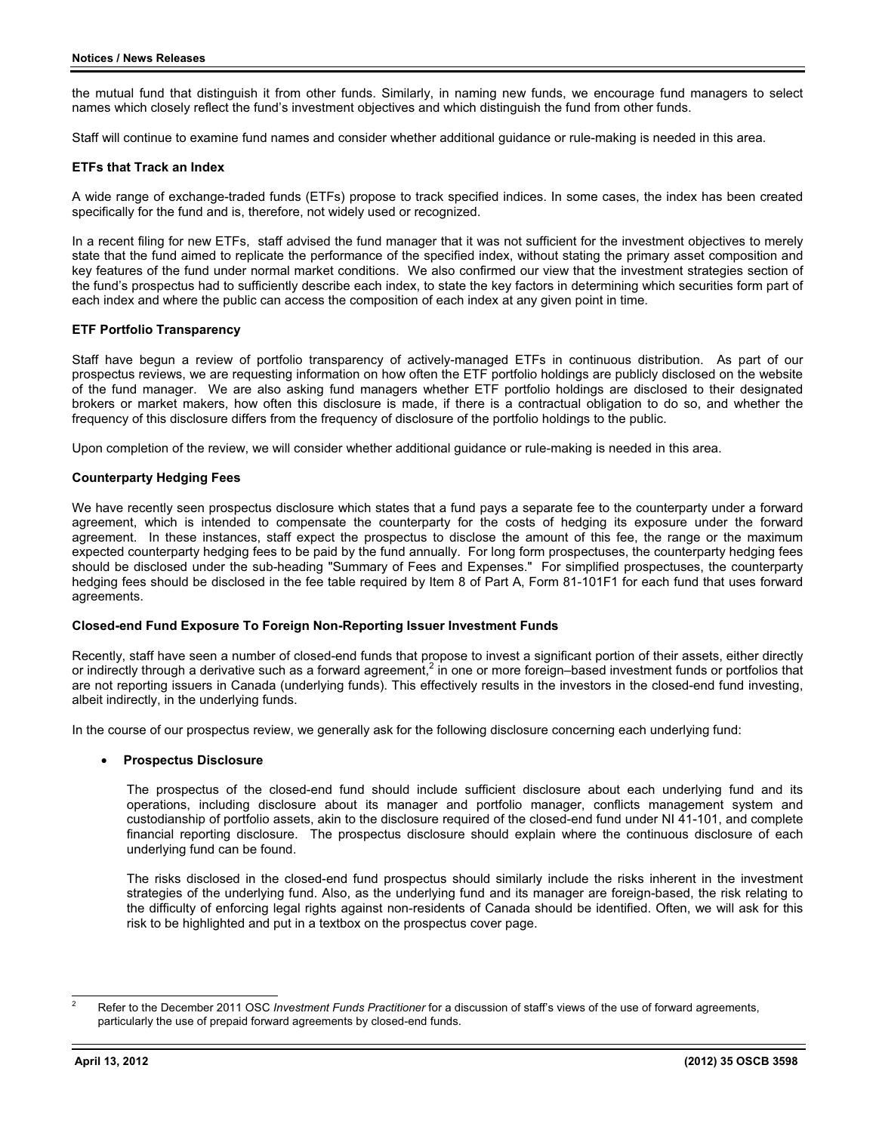the mutual fund that distinguish it from other funds. Similarly, in naming new funds, we encourage fund managers to select names which closely reflect the fund's investment objectives and which distinguish the fund from other funds.

Staff will continue to examine fund names and consider whether additional guidance or rule-making is needed in this area.

## **ETFs that Track an Index**

A wide range of exchange-traded funds (ETFs) propose to track specified indices. In some cases, the index has been created specifically for the fund and is, therefore, not widely used or recognized.

In a recent filing for new ETFs, staff advised the fund manager that it was not sufficient for the investment objectives to merely state that the fund aimed to replicate the performance of the specified index, without stating the primary asset composition and key features of the fund under normal market conditions. We also confirmed our view that the investment strategies section of the fund's prospectus had to sufficiently describe each index, to state the key factors in determining which securities form part of each index and where the public can access the composition of each index at any given point in time.

## **ETF Portfolio Transparency**

Staff have begun a review of portfolio transparency of actively-managed ETFs in continuous distribution. As part of our prospectus reviews, we are requesting information on how often the ETF portfolio holdings are publicly disclosed on the website of the fund manager. We are also asking fund managers whether ETF portfolio holdings are disclosed to their designated brokers or market makers, how often this disclosure is made, if there is a contractual obligation to do so, and whether the frequency of this disclosure differs from the frequency of disclosure of the portfolio holdings to the public.

Upon completion of the review, we will consider whether additional guidance or rule-making is needed in this area.

## **Counterparty Hedging Fees**

We have recently seen prospectus disclosure which states that a fund pays a separate fee to the counterparty under a forward agreement, which is intended to compensate the counterparty for the costs of hedging its exposure under the forward agreement. In these instances, staff expect the prospectus to disclose the amount of this fee, the range or the maximum expected counterparty hedging fees to be paid by the fund annually. For long form prospectuses, the counterparty hedging fees should be disclosed under the sub-heading "Summary of Fees and Expenses." For simplified prospectuses, the counterparty hedging fees should be disclosed in the fee table required by Item 8 of Part A, Form 81-101F1 for each fund that uses forward agreements.

## **Closed-end Fund Exposure To Foreign Non-Reporting Issuer Investment Funds**

Recently, staff have seen a number of closed-end funds that propose to invest a significant portion of their assets, either directly or indirectly through a derivative such as a forward agreement,<sup>2</sup> in one or more foreign-based investment funds or portfolios that are not reporting issuers in Canada (underlying funds). This effectively results in the investors in the closed-end fund investing, albeit indirectly, in the underlying funds.

In the course of our prospectus review, we generally ask for the following disclosure concerning each underlying fund:

#### $\bullet$ **Prospectus Disclosure**

The prospectus of the closed-end fund should include sufficient disclosure about each underlying fund and its operations, including disclosure about its manager and portfolio manager, conflicts management system and custodianship of portfolio assets, akin to the disclosure required of the closed-end fund under NI 41-101, and complete financial reporting disclosure. The prospectus disclosure should explain where the continuous disclosure of each underlying fund can be found.

The risks disclosed in the closed-end fund prospectus should similarly include the risks inherent in the investment strategies of the underlying fund. Also, as the underlying fund and its manager are foreign-based, the risk relating to the difficulty of enforcing legal rights against non-residents of Canada should be identified. Often, we will ask for this risk to be highlighted and put in a textbox on the prospectus cover page.

l 2 Refer to the December 2011 OSC *Investment Funds Practitioner* for a discussion of staff's views of the use of forward agreements, particularly the use of prepaid forward agreements by closed-end funds.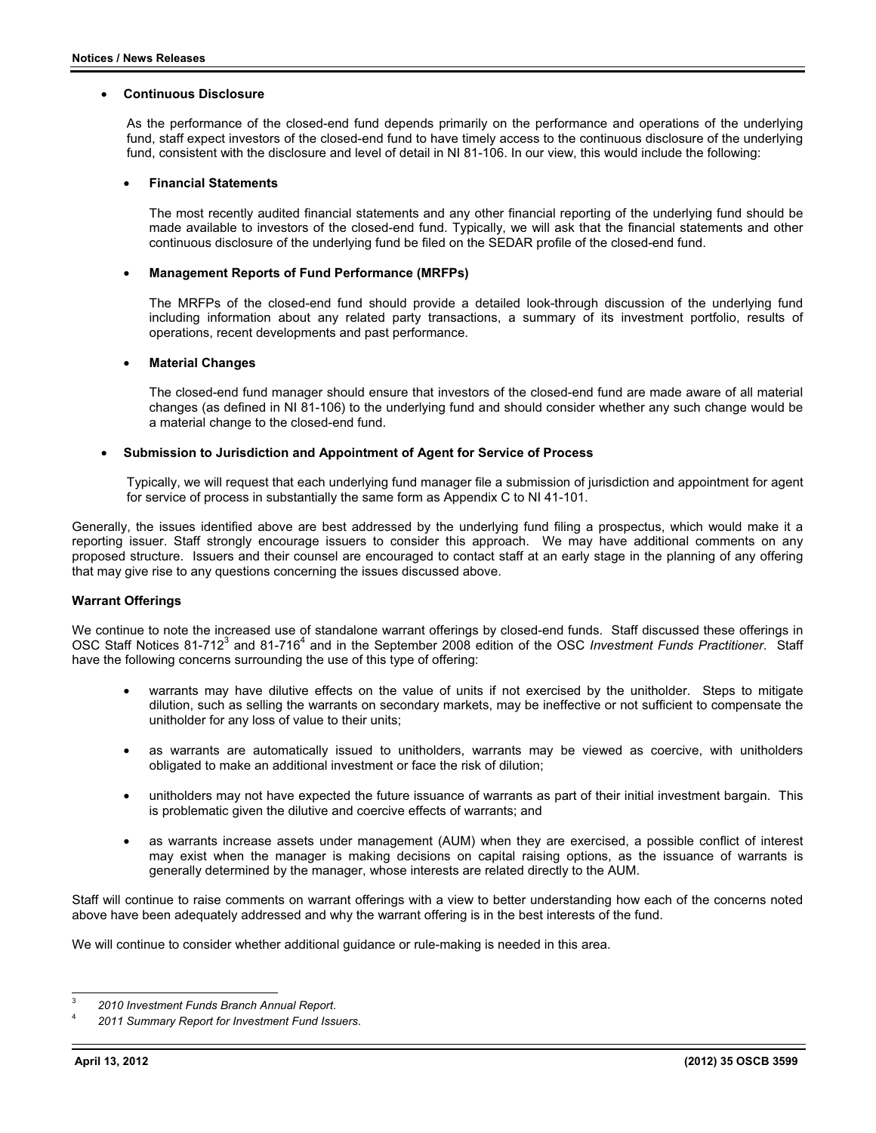#### $\bullet$ **Continuous Disclosure**

As the performance of the closed-end fund depends primarily on the performance and operations of the underlying fund, staff expect investors of the closed-end fund to have timely access to the continuous disclosure of the underlying fund, consistent with the disclosure and level of detail in NI 81-106. In our view, this would include the following:

#### $\bullet$ **Financial Statements**

The most recently audited financial statements and any other financial reporting of the underlying fund should be made available to investors of the closed-end fund. Typically, we will ask that the financial statements and other continuous disclosure of the underlying fund be filed on the SEDAR profile of the closed-end fund.

#### $\bullet$ **Management Reports of Fund Performance (MRFPs)**

The MRFPs of the closed-end fund should provide a detailed look-through discussion of the underlying fund including information about any related party transactions, a summary of its investment portfolio, results of operations, recent developments and past performance.

#### $\bullet$ **Material Changes**

The closed-end fund manager should ensure that investors of the closed-end fund are made aware of all material changes (as defined in NI 81-106) to the underlying fund and should consider whether any such change would be a material change to the closed-end fund.

#### $\bullet$ **Submission to Jurisdiction and Appointment of Agent for Service of Process**

Typically, we will request that each underlying fund manager file a submission of jurisdiction and appointment for agent for service of process in substantially the same form as Appendix C to NI 41-101.

Generally, the issues identified above are best addressed by the underlying fund filing a prospectus, which would make it a reporting issuer. Staff strongly encourage issuers to consider this approach. We may have additional comments on any proposed structure. Issuers and their counsel are encouraged to contact staff at an early stage in the planning of any offering that may give rise to any questions concerning the issues discussed above.

## **Warrant Offerings**

We continue to note the increased use of standalone warrant offerings by closed-end funds. Staff discussed these offerings in OSC Staff Notices 81-712<sup>3</sup> and 81-716<sup>4</sup> and in the September 2008 edition of the OSC Investment Funds Practitioner. Staff have the following concerns surrounding the use of this type of offering:

- $\bullet$  warrants may have dilutive effects on the value of units if not exercised by the unitholder. Steps to mitigate dilution, such as selling the warrants on secondary markets, may be ineffective or not sufficient to compensate the unitholder for any loss of value to their units;
- $\bullet$  as warrants are automatically issued to unitholders, warrants may be viewed as coercive, with unitholders obligated to make an additional investment or face the risk of dilution;
- $\bullet$  unitholders may not have expected the future issuance of warrants as part of their initial investment bargain. This is problematic given the dilutive and coercive effects of warrants; and
- $\bullet$  as warrants increase assets under management (AUM) when they are exercised, a possible conflict of interest may exist when the manager is making decisions on capital raising options, as the issuance of warrants is generally determined by the manager, whose interests are related directly to the AUM.

Staff will continue to raise comments on warrant offerings with a view to better understanding how each of the concerns noted above have been adequately addressed and why the warrant offering is in the best interests of the fund.

We will continue to consider whether additional guidance or rule-making is needed in this area.

 3 *2010 Investment Funds Branch Annual Report*. 4

*2011 Summary Report for Investment Fund Issuers*.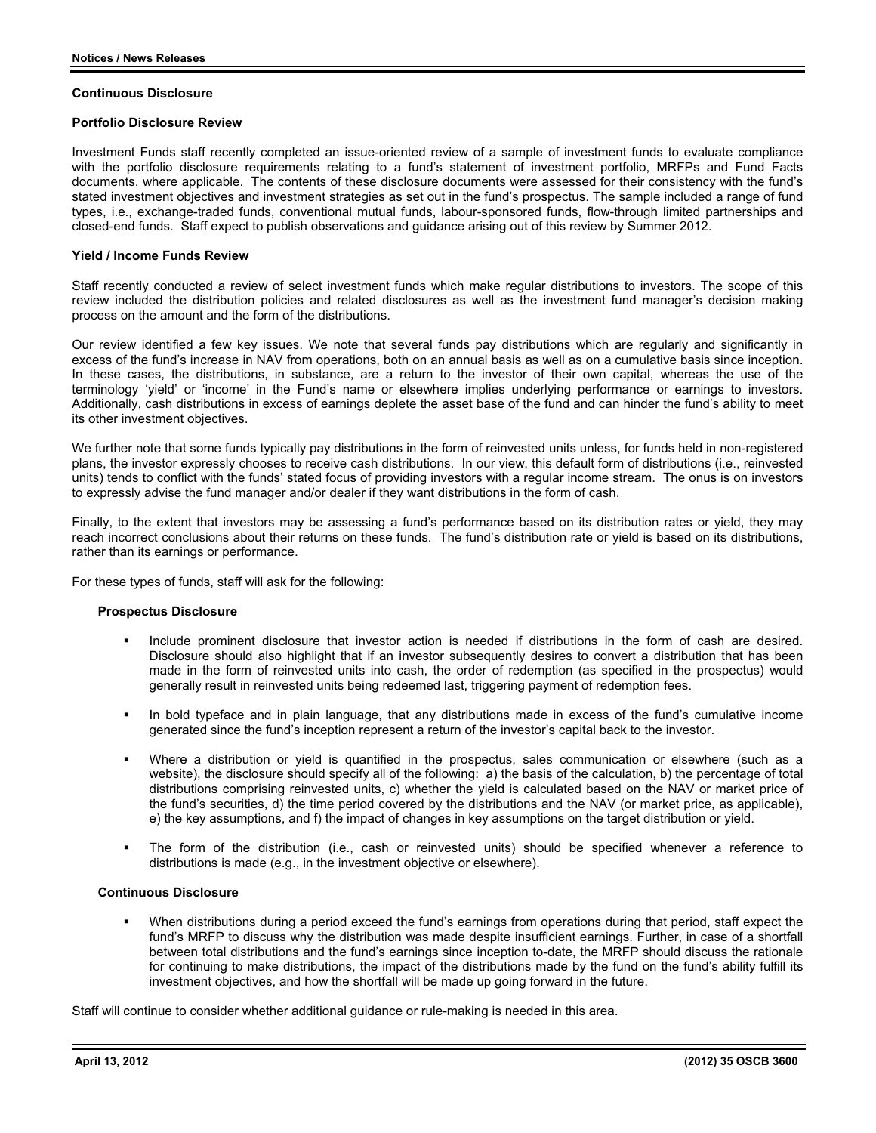### **Continuous Disclosure**

## **Portfolio Disclosure Review**

Investment Funds staff recently completed an issue-oriented review of a sample of investment funds to evaluate compliance with the portfolio disclosure requirements relating to a fund's statement of investment portfolio, MRFPs and Fund Facts documents, where applicable. The contents of these disclosure documents were assessed for their consistency with the fund's stated investment objectives and investment strategies as set out in the fund's prospectus. The sample included a range of fund types, i.e., exchange-traded funds, conventional mutual funds, labour-sponsored funds, flow-through limited partnerships and closed-end funds. Staff expect to publish observations and guidance arising out of this review by Summer 2012.

## **Yield / Income Funds Review**

Staff recently conducted a review of select investment funds which make regular distributions to investors. The scope of this review included the distribution policies and related disclosures as well as the investment fund manager's decision making process on the amount and the form of the distributions.

Our review identified a few key issues. We note that several funds pay distributions which are regularly and significantly in excess of the fund's increase in NAV from operations, both on an annual basis as well as on a cumulative basis since inception. In these cases, the distributions, in substance, are a return to the investor of their own capital, whereas the use of the terminology 'yield' or 'income' in the Fund's name or elsewhere implies underlying performance or earnings to investors. Additionally, cash distributions in excess of earnings deplete the asset base of the fund and can hinder the fund's ability to meet its other investment objectives.

We further note that some funds typically pay distributions in the form of reinvested units unless, for funds held in non-registered plans, the investor expressly chooses to receive cash distributions. In our view, this default form of distributions (i.e., reinvested units) tends to conflict with the funds' stated focus of providing investors with a regular income stream. The onus is on investors to expressly advise the fund manager and/or dealer if they want distributions in the form of cash.

Finally, to the extent that investors may be assessing a fund's performance based on its distribution rates or yield, they may reach incorrect conclusions about their returns on these funds. The fund's distribution rate or yield is based on its distributions, rather than its earnings or performance.

For these types of funds, staff will ask for the following:

### **Prospectus Disclosure**

- - Include prominent disclosure that investor action is needed if distributions in the form of cash are desired. Disclosure should also highlight that if an investor subsequently desires to convert a distribution that has been made in the form of reinvested units into cash, the order of redemption (as specified in the prospectus) would generally result in reinvested units being redeemed last, triggering payment of redemption fees.
- - In bold typeface and in plain language, that any distributions made in excess of the fund's cumulative income generated since the fund's inception represent a return of the investor's capital back to the investor.
- - Where a distribution or yield is quantified in the prospectus, sales communication or elsewhere (such as a website), the disclosure should specify all of the following: a) the basis of the calculation, b) the percentage of total distributions comprising reinvested units, c) whether the yield is calculated based on the NAV or market price of the fund's securities, d) the time period covered by the distributions and the NAV (or market price, as applicable), e) the key assumptions, and f) the impact of changes in key assumptions on the target distribution or yield.
- - The form of the distribution (i.e., cash or reinvested units) should be specified whenever a reference to distributions is made (e.g., in the investment objective or elsewhere).

### **Continuous Disclosure**

- When distributions during a period exceed the fund's earnings from operations during that period, staff expect the fund's MRFP to discuss why the distribution was made despite insufficient earnings. Further, in case of a shortfall between total distributions and the fund's earnings since inception to-date, the MRFP should discuss the rationale for continuing to make distributions, the impact of the distributions made by the fund on the fund's ability fulfill its investment objectives, and how the shortfall will be made up going forward in the future.

Staff will continue to consider whether additional guidance or rule-making is needed in this area.